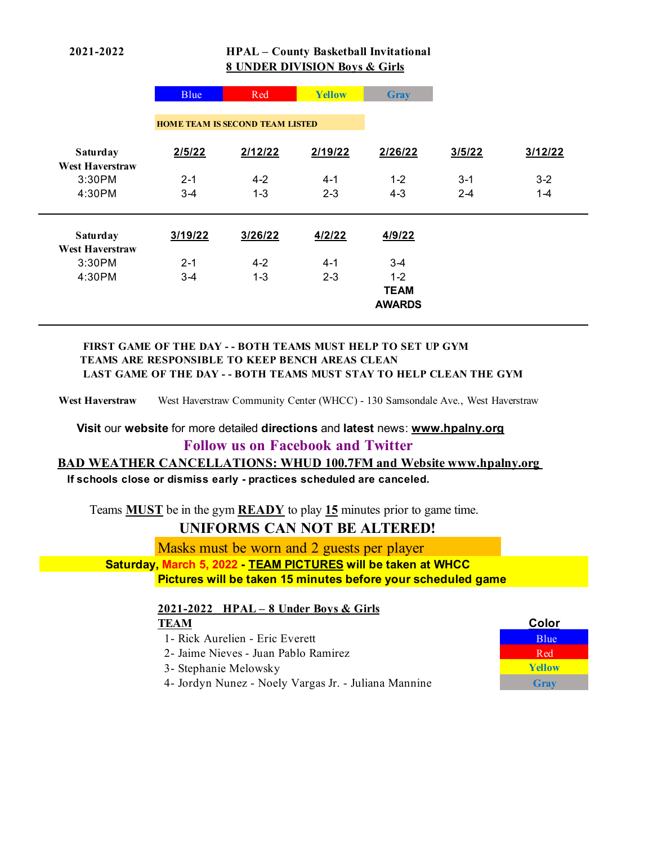## **2021-2022 HPAL – County Basketball Invitational 8 UNDER DIVISION Boys & Girls**

|                                    | Blue                                   | Red     | Yellow  | <b>Gray</b>   |         |         |
|------------------------------------|----------------------------------------|---------|---------|---------------|---------|---------|
|                                    | <b>HOME TEAM IS SECOND TEAM LISTED</b> |         |         |               |         |         |
| Saturday<br><b>West Haverstraw</b> | 2/5/22                                 | 2/12/22 | 2/19/22 | 2/26/22       | 3/5/22  | 3/12/22 |
| 3:30PM                             | $2 - 1$                                | $4 - 2$ | $4 - 1$ | $1 - 2$       | $3 - 1$ | $3 - 2$ |
| 4:30PM                             | $3 - 4$                                | $1 - 3$ | $2 - 3$ | $4 - 3$       | $2 - 4$ | $1 - 4$ |
|                                    |                                        |         |         |               |         |         |
| Saturday                           | 3/19/22                                | 3/26/22 | 4/2/22  | 4/9/22        |         |         |
| <b>West Haverstraw</b>             |                                        |         |         |               |         |         |
| 3:30PM                             | $2 - 1$                                | $4 - 2$ | $4 - 1$ | $3-4$         |         |         |
| 4:30PM                             | $3 - 4$                                | $1 - 3$ | $2 - 3$ | $1 - 2$       |         |         |
|                                    |                                        |         |         | <b>TEAM</b>   |         |         |
|                                    |                                        |         |         | <b>AWARDS</b> |         |         |
|                                    |                                        |         |         |               |         |         |

#### **FIRST GAME OF THE DAY - - BOTH TEAMS MUST HELP TO SET UP GYM TEAMS ARE RESPONSIBLE TO KEEP BENCH AREAS CLEAN LAST GAME OF THE DAY - - BOTH TEAMS MUST STAY TO HELP CLEAN THE GYM**

**West Haverstraw** West Haverstraw Community Center (WHCC) - 130 Samsondale Ave., West Haverstraw

 **Visit** our **website** for more detailed **directions** and **latest** news: **www.hpalny.org**

## **Follow us on Facebook and Twitter**

#### **BAD WEATHER CANCELLATIONS: WHUD 100.7FM and Website www.hpalny.org**

 **If schools close or dismiss early - practices scheduled are canceled.**

Teams **MUST** be in the gym **READY** to play **15** minutes prior to game time.

# **UNIFORMS CAN NOT BE ALTERED!**

Masks must be worn and 2 guests per player  **Saturday, March 5, 2022 - TEAM PICTURES will be taken at WHCC**

**Pictures will be taken 15 minutes before your scheduled game**

# **2021-2022 HPAL – 8 Under Boys & Girls**

#### **TEAM Color** 1- Rick Aurelien - Eric Everett Blue 2- Jaime Nieves - Juan Pablo Ramirez Red Red Red 3- Stephanie Melowsky Green **Yellow** 4- Jordyn Nunez - Noely Vargas Jr. - Juliana Mannine **Gray**